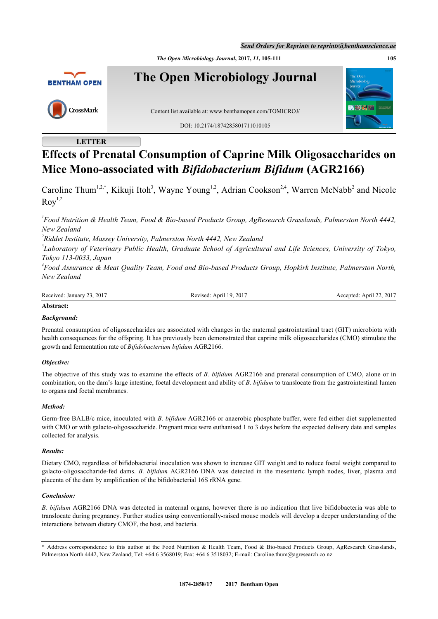*Send Orders for Reprints to reprints@benthamscience.ae*

*The Open Microbiology Journal***, 2017,** *11***, 105-111 105**



# **LETTER**

# **Effects of Prenatal Consumption of Caprine Milk Oligosaccharides on Mice Mono-associated with** *Bifidobacterium Bifidum* **(AGR2166)**

Caroline Thum<sup>[1](#page-0-0)[,2](#page-0-1)[,\\*](#page-0-2)</sup>, Kikuji Itoh<sup>[3](#page-0-3)</sup>, Wayne Young<sup>1,[2](#page-0-1)</sup>, Adrian Cookson<sup>[2,](#page-0-1)[4](#page-0-4)</sup>, Warren McNabb<sup>2</sup> and Nicole  $Row<sup>1,2</sup>$  $Row<sup>1,2</sup>$  $Row<sup>1,2</sup>$  $Row<sup>1,2</sup>$ 

<span id="page-0-0"></span>*1 Food Nutrition & Health Team, Food & Bio-based Products Group, AgResearch Grasslands, Palmerston North 4442, New Zealand*

<span id="page-0-1"></span>*2 Riddet Institute, Massey University, Palmerston North 4442, New Zealand*

<span id="page-0-3"></span>*3 Laboratory of Veterinary Public Health, Graduate School of Agricultural and Life Sciences, University of Tokyo, Tokyo 113-0033, Japan*

<span id="page-0-4"></span>*4 Food Assurance & Meat Quality Team, Food and Bio-based Products Group, Hopkirk Institute, Palmerston North, New Zealand*

Received: January 23, 2017 Revised: April 19, 2017 Accepted: April 22, 2017

# **Abstract:**

# *Background:*

Prenatal consumption of oligosaccharides are associated with changes in the maternal gastrointestinal tract (GIT) microbiota with health consequences for the offspring. It has previously been demonstrated that caprine milk oligosaccharides (CMO) stimulate the growth and fermentation rate of *Bifidobacterium bifidum* AGR2166.

# *Objective:*

The objective of this study was to examine the effects of *B. bifidum* AGR2166 and prenatal consumption of CMO, alone or in combination, on the dam's large intestine, foetal development and ability of *B. bifidum* to translocate from the gastrointestinal lumen to organs and foetal membranes.

# *Method:*

Germ-free BALB/c mice, inoculated with *B. bifidum* AGR2166 or anaerobic phosphate buffer, were fed either diet supplemented with CMO or with galacto-oligosaccharide. Pregnant mice were euthanised 1 to 3 days before the expected delivery date and samples collected for analysis.

# *Results:*

Dietary CMO, regardless of bifidobacterial inoculation was shown to increase GIT weight and to reduce foetal weight compared to galacto-oligosaccharide-fed dams. *B. bifidum* AGR2166 DNA was detected in the mesenteric lymph nodes, liver, plasma and placenta of the dam by amplification of the bifidobacterial 16S rRNA gene.

# *Conclusion:*

*B. bifidum* AGR2166 DNA was detected in maternal organs, however there is no indication that live bifidobacteria was able to translocate during pregnancy. Further studies using conventionally-raised mouse models will develop a deeper understanding of the interactions between dietary CMOF, the host, and bacteria.

<span id="page-0-2"></span><sup>\*</sup> Address correspondence to this author at the Food Nutrition & Health Team, Food & Bio-based Products Group, AgResearch Grasslands, Palmerston North 4442, New Zealand; Tel: +64 6 3568019; Fax: +64 6 3518032; E-mail: [Caroline.thum@agresearch.co.nz](mailto:Caroline.thum@agresearch.co.nz)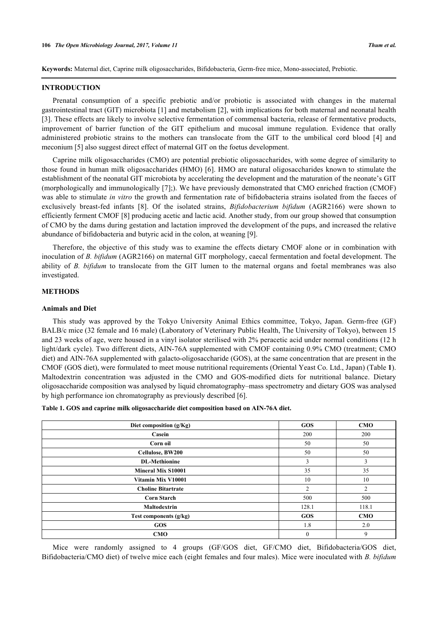**Keywords:** Maternal diet, Caprine milk oligosaccharides, Bifidobacteria, Germ-free mice, Mono-associated, Prebiotic.

#### **INTRODUCTION**

Prenatal consumption of a specific prebiotic and/or probiotic is associated with changes in the maternal gastrointestinal tract (GIT) microbiota [[1](#page-5-0)] and metabolism [[2\]](#page-5-1), with implications for both maternal and neonatal health [\[3](#page-5-2)]. These effects are likely to involve selective fermentation of commensal bacteria, release of fermentative products, improvement of barrier function of the GIT epithelium and mucosal immune regulation. Evidence that orally administered probiotic strains to the mothers can translocate from the GIT to the umbilical cord blood[[4](#page-5-3)] and meconium [[5\]](#page-5-4) also suggest direct effect of maternal GIT on the foetus development.

Caprine milk oligosaccharides (CMO) are potential prebiotic oligosaccharides, with some degree of similarity to those found in human milk oligosaccharides (HMO) [\[6](#page-5-5)]. HMO are natural oligosaccharides known to stimulate the establishment of the neonatal GIT microbiota by accelerating the development and the maturation of the neonate's GIT (morphologically and immunologically [[7\]](#page-5-6);). We have previously demonstrated that CMO enriched fraction (CMOF) was able to stimulate *in vitro* the growth and fermentation rate of bifidobacteria strains isolated from the faeces of exclusively breast-fed infants[[8](#page-5-7)]. Of the isolated strains, *Bifidobacterium bifidum* (AGR2166) were shown to efficiently ferment CMOF [\[8](#page-5-7)] producing acetic and lactic acid. Another study, from our group showed that consumption of CMO by the dams during gestation and lactation improved the development of the pups, and increased the relative abundance of bifidobacteria and butyric acid in the colon, at weaning [\[9](#page-5-8)].

Therefore, the objective of this study was to examine the effects dietary CMOF alone or in combination with inoculation of *B. bifidum* (AGR2166) on maternal GIT morphology, caecal fermentation and foetal development. The ability of *B. bifidum* to translocate from the GIT lumen to the maternal organs and foetal membranes was also investigated.

#### **METHODS**

## **Animals and Diet**

This study was approved by the Tokyo University Animal Ethics committee, Tokyo, Japan. Germ-free (GF) BALB/c mice (32 female and 16 male) (Laboratory of Veterinary Public Health, The University of Tokyo), between 15 and 23 weeks of age, were housed in a vinyl isolator sterilised with 2% peracetic acid under normal conditions (12 h light/dark cycle). Two different diets, AIN-76A supplemented with CMOF containing 0.9% CMO (treatment; CMO diet) and AIN-76A supplemented with galacto-oligosaccharide (GOS), at the same concentration that are present in the CMOF (GOS diet), were formulated to meet mouse nutritional requirements (Oriental Yeast Co. Ltd., Japan) (Table **[1](#page-1-0)**). Maltodextrin concentration was adjusted in the CMO and GOS-modified diets for nutritional balance. Dietary oligosaccharide composition was analysed by liquid chromatography–mass spectrometry and dietary GOS was analysed by high performance ion chromatography as previously described [[6\]](#page-5-5).

<span id="page-1-0"></span>

| Diet composition $(g/Kg)$ | <b>GOS</b>     | <b>CMO</b>     |
|---------------------------|----------------|----------------|
| Casein                    | 200            | 200            |
| Corn oil                  | 50             | 50             |
| Cellulose, BW200          | 50             | 50             |
| <b>DL-Methionine</b>      | 3              | 3              |
| <b>Mineral Mix S10001</b> | 35             | 35             |
| Vitamin Mix V10001        | 10             | 10             |
| <b>Choline Bitartrate</b> | $\overline{2}$ | $\overline{2}$ |
| <b>Corn Starch</b>        | 500            | 500            |
| <b>Maltodextrin</b>       | 128.1          | 118.1          |
| Test components (g/kg)    | <b>GOS</b>     | <b>CMO</b>     |
| <b>GOS</b>                | 1.8            | 2.0            |
| <b>CMO</b>                | $\mathbf{0}$   | 9              |

Mice were randomly assigned to 4 groups (GF/GOS diet, GF/CMO diet, Bifidobacteria/GOS diet, Bifidobacteria/CMO diet) of twelve mice each (eight females and four males). Mice were inoculated with *B. bifidum*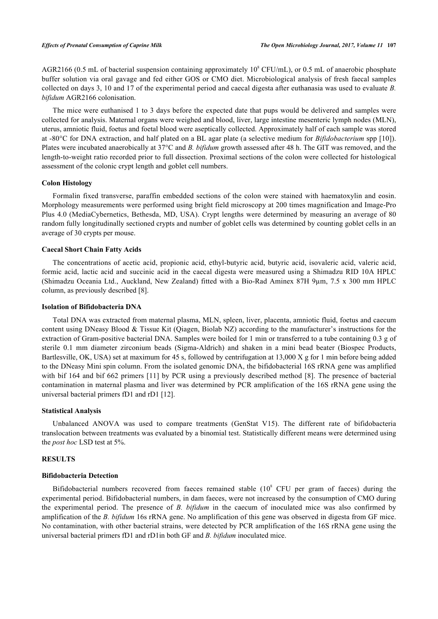AGR2166 (0.5 mL of bacterial suspension containing approximately  $10^8$  CFU/mL), or 0.5 mL of anaerobic phosphate buffer solution via oral gavage and fed either GOS or CMO diet. Microbiological analysis of fresh faecal samples collected on days 3, 10 and 17 of the experimental period and caecal digesta after euthanasia was used to evaluate *B. bifidum* AGR2166 colonisation.

The mice were euthanised 1 to 3 days before the expected date that pups would be delivered and samples were collected for analysis. Maternal organs were weighed and blood, liver, large intestine mesenteric lymph nodes (MLN), uterus, amniotic fluid, foetus and foetal blood were aseptically collected. Approximately half of each sample was stored at -80°C for DNA extraction, and half plated on a BL agar plate (a selective medium for *Bifidobacterium* spp [[10](#page-5-9)]). Plates were incubated anaerobically at 37°C and *B. bifidum* growth assessed after 48 h. The GIT was removed, and the length-to-weight ratio recorded prior to full dissection. Proximal sections of the colon were collected for histological assessment of the colonic crypt length and goblet cell numbers.

# **Colon Histology**

Formalin fixed transverse, paraffin embedded sections of the colon were stained with haematoxylin and eosin. Morphology measurements were performed using bright field microscopy at 200 times magnification and Image-Pro Plus 4.0 (MediaCybernetics, Bethesda, MD, USA). Crypt lengths were determined by measuring an average of 80 random fully longitudinally sectioned crypts and number of goblet cells was determined by counting goblet cells in an average of 30 crypts per mouse.

# **Caecal Short Chain Fatty Acids**

The concentrations of acetic acid, propionic acid, ethyl-butyric acid, butyric acid, isovaleric acid, valeric acid, formic acid, lactic acid and succinic acid in the caecal digesta were measured using a Shimadzu RID 10A HPLC (Shimadzu Oceania Ltd., Auckland, New Zealand) fitted with a Bio-Rad Aminex 87H 9µm, 7.5 x 300 mm HPLC column, as previously described [\[8](#page-5-7)].

#### **Isolation of Bifidobacteria DNA**

Total DNA was extracted from maternal plasma, MLN, spleen, liver, placenta, amniotic fluid, foetus and caecum content using DNeasy Blood & Tissue Kit (Qiagen, Biolab NZ) according to the manufacturer's instructions for the extraction of Gram-positive bacterial DNA. Samples were boiled for 1 min or transferred to a tube containing 0.3 g of sterile 0.1 mm diameter zirconium beads (Sigma-Aldrich) and shaken in a mini bead beater (Biospec Products, Bartlesville, OK, USA) set at maximum for 45 s, followed by centrifugation at 13,000 X g for 1 min before being added to the DNeasy Mini spin column. From the isolated genomic DNA, the bifidobacterial 16S rRNA gene was amplified with bif 164 and bif 662 primers [[11](#page-5-10)] by PCR using a previously described method [[8\]](#page-5-7). The presence of bacterial contamination in maternal plasma and liver was determined by PCR amplification of the 16S rRNA gene using the universal bacterial primers fD1 and rD1 [\[12](#page-5-11)].

## **Statistical Analysis**

Unbalanced ANOVA was used to compare treatments (GenStat V15). The different rate of bifidobacteria translocation between treatments was evaluated by a binomial test. Statistically different means were determined using the *post hoc* LSD test at 5%.

#### **RESULTS**

#### **Bifidobacteria Detection**

Bifidobacterial numbers recovered from faeces remained stable  $(10<sup>8</sup>$  CFU per gram of faeces) during the experimental period. Bifidobacterial numbers, in dam faeces, were not increased by the consumption of CMO during the experimental period. The presence of *B. bifidum* in the caecum of inoculated mice was also confirmed by amplification of the *B. bifidum* 16s rRNA gene. No amplification of this gene was observed in digesta from GF mice. No contamination, with other bacterial strains, were detected by PCR amplification of the 16S rRNA gene using the universal bacterial primers fD1 and rD1in both GF and *B. bifidum* inoculated mice.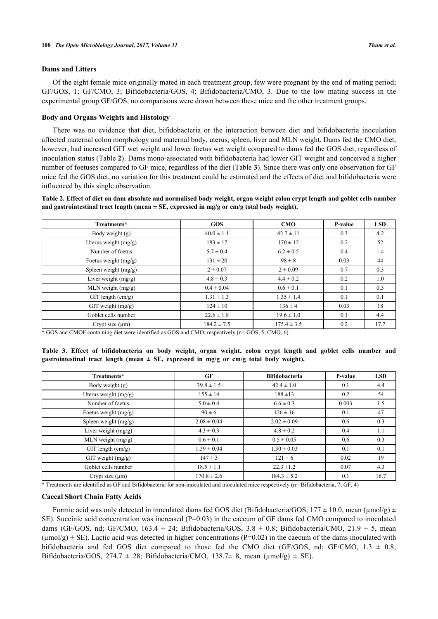## **Dams and Litters**

Of the eight female mice originally mated in each treatment group, few were pregnant by the end of mating period; GF/GOS, 1; GF/CMO, 3; Bifidobacteria/GOS, 4; Bifidobacteria/CMO, 3. Due to the low mating success in the experimental group GF/GOS, no comparisons were drawn between these mice and the other treatment groups.

## **Body and Organs Weights and Histology**

There was no evidence that diet, bifidobacteria or the interaction between diet and bifidobacteria inoculation affected maternal colon morphology and maternal body, uterus, spleen, liver and MLN weight. Dams fed the CMO diet, however, had increased GIT wet weight and lower foetus wet weight compared to dams fed the GOS diet, regardless of inoculation status (Table **[2](#page-3-0)**). Dams mono-associated with bifidobacteria had lower GIT weight and conceived a higher number of foetuses compared to GF mice, regardless of the diet (Table **[3](#page-3-1)**). Since there was only one observation for GF mice fed the GOS diet, no variation for this treatment could be estimated and the effects of diet and bifidobacteria were influenced by this single observation.

<span id="page-3-0"></span>**Table 2. Effect of diet on dam absolute and normalised body weight, organ weight colon crypt length and goblet cells number** and gastrointestinal tract length (mean  $\pm$  SE, expressed in mg/g or cm/g total body weight).

| Treatments*            | <b>GOS</b>      | CMO             | P-value | <b>LSD</b> |
|------------------------|-----------------|-----------------|---------|------------|
| Body weight (g)        | $40.0 \pm 1.1$  | $42.7 \pm 11$   | 0.3     | 4.2        |
| Uterus weight (mg/g)   | $183 \pm 17$    | $170 \pm 12$    | 0.2     | 52         |
| Number of foetus       | $5.7 \pm 0.4$   | $6.2 \pm 0.5$   | 0.4     | 1.4        |
| Foetus weight $(mg/g)$ | $131 \pm 20$    | $98 \pm 8$      | 0.03    | 44         |
| Spleen weight $(mg/g)$ | $2 \pm 0.07$    | $2 \pm 0.09$    | 0.7     | 0.3        |
| Liver weight $(mg/g)$  | $4.8 \pm 0.3$   | $4.4 \pm 0.2$   | 0.2     | 1.0        |
| MLN weight $(mg/g)$    | $0.4 \pm 0.04$  | $0.6 \pm 0.1$   | 0.1     | 0.3        |
| $GIT$ length $(cm/g)$  | $1.31 \pm 1.3$  | $1.35 \pm 1.4$  | 0.1     | 0.1        |
| $GIT$ weight $(mg/g)$  | $124 \pm 10$    | $136 \pm 4$     | 0.03    | 18         |
| Goblet cells number    | $22.6 \pm 1.8$  | $19.6 \pm 1.0$  | 0.1     | 4.4        |
| Crypt size $(\mu m)$   | $184.2 \pm 7.5$ | $175.4 \pm 3.5$ | 0.2     | 17.7       |

\* GOS and CMOF containing diet were identified as GOS and CMO, respectively (n= GOS, 5; CMO, 6)

<span id="page-3-1"></span>**Table 3. Effect of bifidobacteria on body weight, organ weight, colon crypt length and goblet cells number and** gastrointestinal tract length (mean  $\pm$  SE, expressed in mg/g or cm/g total body weight).

| Treatments*            | GF              | <b>Bifidobacteria</b> | P-value | <b>LSD</b> |
|------------------------|-----------------|-----------------------|---------|------------|
| Body weight (g)        | $39.8 \pm 1.5$  | $42.4 \pm 1.0$        | 0.1     | 4.4        |
| Uterus weight (mg/g)   | $155 \pm 14$    | $188 + 13$            | 0.2     | 54         |
| Number of foetus       | $5.0 \pm 0.4$   | $6.6 \pm 0.3$         | 0.003   | 1.5        |
| Foetus weight $(mg/g)$ | $90 \pm 6$      | $126 \pm 16$          | 0.1     | 47         |
| Spleen weight (mg/g)   | $2.08 \pm 0.04$ | $2.02 \pm 0.09$       | 0.6     | 0.3        |
| Liver weight $(mg/g)$  | $4.3 \pm 0.3$   | $4.8 \pm 0.2$         | 0.4     | 1.1        |
| MLN weight $(mg/g)$    | $0.6 \pm 0.1$   | $0.5 \pm 0.05$        | 0.6     | 0.3        |
| $GIT$ length $(cm/g)$  | $1.39 \pm 0.04$ | $1.30 \pm 0.03$       | 0.1     | 0.1        |
| $GIT$ weight $(mg/g)$  | $147 \pm 3$     | $121 \pm 6$           | 0.02    | 19         |
| Goblet cells number    | $18.5 \pm 1.1$  | $22.3 \pm 1.2$        | 0.07    | 4.3        |
| Crypt size $(\mu m)$   | $170.8 \pm 2.6$ | $184.3 \pm 5.2$       | 0.1     | 16.7       |

\* Treatments are identified as GF and Bifidobacteria for non-inoculated and inoculated mice respectively (n= Bifidobacteria, 7; GF, 4)

# **Caecal Short Chain Fatty Acids**

Formic acid was only detected in inoculated dams fed GOS diet (Bifidobacteria/GOS,  $177 \pm 10.0$ , mean ( $\mu$ mol/g)  $\pm$ SE). Succinic acid concentration was increased (P=0.03) in the caecum of GF dams fed CMO compared to inoculated dams (GF/GOS, nd; GF/CMO, 163.4  $\pm$  24; Bifidobacteria/GOS, 3.8  $\pm$  0.8; Bifidobacteria/CMO, 21.9  $\pm$  5, mean  $(\mu \text{mol/g}) \pm \text{SE}$ ). Lactic acid was detected in higher concentrations (P=0.02) in the caecum of the dams inoculated with bifidobacteria and fed GOS diet compared to those fed the CMO diet (GF/GOS, nd; GF/CMO,  $1.3 \pm 0.8$ ; Bifidobacteria/GOS, 274.7  $\pm$  28; Bifidobacteria/CMO, 138.7 $\pm$  8, mean ( $\mu$ mol/g)  $\pm$  SE).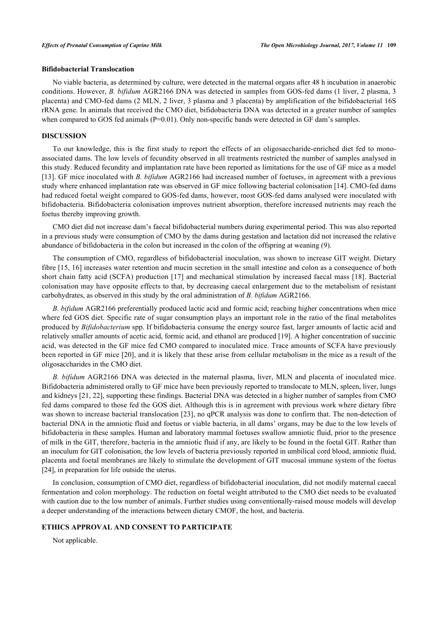# **Bifidobacterial Translocation**

No viable bacteria, as determined by culture, were detected in the maternal organs after 48 h incubation in anaerobic conditions. However, *B. bifidum* AGR2166 DNA was detected in samples from GOS-fed dams (1 liver, 2 plasma, 3 placenta) and CMO-fed dams (2 MLN, 2 liver, 3 plasma and 3 placenta) by amplification of the bifidobacterial 16S rRNA gene. In animals that received the CMO diet, bifidobacteria DNA was detected in a greater number of samples when compared to GOS fed animals (P=0.01). Only non-specific bands were detected in GF dam's samples.

### **DISCUSSION**

To our knowledge, this is the first study to report the effects of an oligosaccharide-enriched diet fed to monoassociated dams. The low levels of fecundity observed in all treatments restricted the number of samples analysed in this study. Reduced fecundity and implantation rate have been reported as limitations for the use of GF mice as a model [\[13](#page-5-12)]. GF mice inoculated with *B. bifidum* AGR2166 had increased number of foetuses, in agreement with a previous study where enhanced implantation rate was observed in GF mice following bacterial colonisation [\[14\]](#page-6-0). CMO-fed dams had reduced foetal weight compared to GOS-fed dams, however, most GOS-fed dams analysed were inoculated with bifidobacteria. Bifidobacteria colonisation improves nutrient absorption, therefore increased nutrients may reach the foetus thereby improving growth.

CMO diet did not increase dam's faecal bifidobacterial numbers during experimental period. This was also reported in a previous study were consumption of CMO by the dams during gestation and lactation did not increased the relative abundance of bifidobacteria in the colon but increased in the colon of the offspring at weaning (9).

The consumption of CMO, regardless of bifidobacterial inoculation, was shown to increase GIT weight. Dietary fibre [\[15](#page-6-1), [16\]](#page-6-2) increases water retention and mucin secretion in the small intestine and colon as a consequence of both short chain fatty acid (SCFA) production [[17](#page-6-3)] and mechanical stimulation by increased faecal mass [[18](#page-6-4)]. Bacterial colonisation may have opposite effects to that, by decreasing caecal enlargement due to the metabolism of resistant carbohydrates, as observed in this study by the oral administration of *B. bifidum* AGR2166.

*B. bifidum* AGR2166 preferentially produced lactic acid and formic acid; reaching higher concentrations when mice where fed GOS diet. Specific rate of sugar consumption plays an important role in the ratio of the final metabolites produced by *Bifidobacterium* spp. If bifidobacteria consume the energy source fast, larger amounts of lactic acid and relatively smaller amounts of acetic acid, formic acid, and ethanol are produced [[19\]](#page-6-5). A higher concentration of succinic acid, was detected in the GF mice fed CMO compared to inoculated mice. Trace amounts of SCFA have previously been reported in GF mice [[20\]](#page-6-6), and it is likely that these arise from cellular metabolism in the mice as a result of the oligosaccharides in the CMO diet.

*B. bifidum* AGR2166 DNA was detected in the maternal plasma, liver, MLN and placenta of inoculated mice. Bifidobacteria administered orally to GF mice have been previously reported to translocate to MLN, spleen, liver, lungs and kidneys [[21,](#page-6-7) [22](#page-6-8)], supporting these findings. Bacterial DNA was detected in a higher number of samples from CMO fed dams compared to those fed the GOS diet. Although this is in agreement with previous work where dietary fibre was shown to increase bacterial translocation [\[23](#page-6-9)], no qPCR analysis was done to confirm that. The non-detection of bacterial DNA in the amniotic fluid and foetus or viable bacteria, in all dams' organs, may be due to the low levels of bifidobacteria in these samples. Human and laboratory mammal foetuses swallow amniotic fluid, prior to the presence of milk in the GIT, therefore, bacteria in the amniotic fluid if any, are likely to be found in the foetal GIT. Rather than an inoculum for GIT colonisation, the low levels of bacteria previously reported in umbilical cord blood, amniotic fluid, placenta and foetal membranes are likely to stimulate the development of GIT mucosal immune system of the foetus [\[24](#page-6-10)], in preparation for life outside the uterus.

In conclusion, consumption of CMO diet, regardless of bifidobacterial inoculation, did not modify maternal caecal fermentation and colon morphology. The reduction on foetal weight attributed to the CMO diet needs to be evaluated with caution due to the low number of animals. Further studies using conventionally-raised mouse models will develop a deeper understanding of the interactions between dietary CMOF, the host, and bacteria.

# **ETHICS APPROVAL AND CONSENT TO PARTICIPATE**

Not applicable.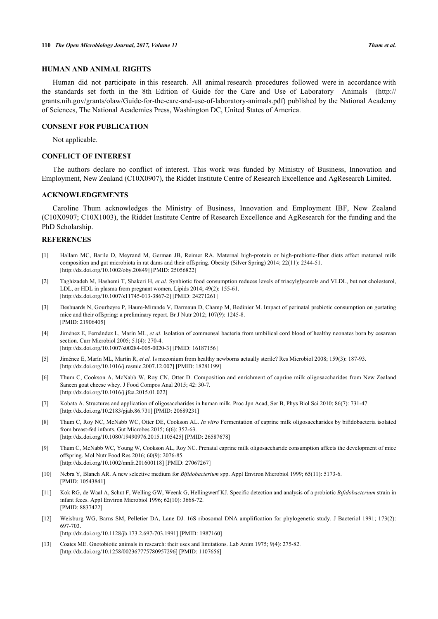# **HUMAN AND ANIMAL RIGHTS**

Human did not participate in this research. All animal research procedures followed were in accordance with the standards set forth in the 8th Edition of Guide for the Care and Use of Laboratory Animals ([http://](http://%20grants.nih.gov/grants/olaw/Guide-for-the-care-and-use-of-laboratory-animals.pdf) [grants.nih.gov/grants/olaw/Guide-for-the-care-and-use-of-laboratory-animals.pdf\)](http://%20grants.nih.gov/grants/olaw/Guide-for-the-care-and-use-of-laboratory-animals.pdf) published by the National Academy of Sciences, The National Academies Press, Washington DC, United States of America.

# **CONSENT FOR PUBLICATION**

Not applicable.

# **CONFLICT OF INTEREST**

The authors declare no conflict of interest. This work was funded by Ministry of Business, Innovation and Employment, New Zealand (C10X0907), the Riddet Institute Centre of Research Excellence and AgResearch Limited.

# **ACKNOWLEDGEMENTS**

Caroline Thum acknowledges the Ministry of Business, Innovation and Employment IBF, New Zealand (C10X0907; C10X1003), the Riddet Institute Centre of Research Excellence and AgResearch for the funding and the PhD Scholarship.

#### **REFERENCES**

- <span id="page-5-0"></span>[1] Hallam MC, Barile D, Meyrand M, German JB, Reimer RA. Maternal high-protein or high-prebiotic-fiber diets affect maternal milk composition and gut microbiota in rat dams and their offspring. Obesity (Silver Spring) 2014; 22(11): 2344-51. [\[http://dx.doi.org/10.1002/oby.20849\]](http://dx.doi.org/10.1002/oby.20849) [PMID: [25056822](http://www.ncbi.nlm.nih.gov/pubmed/25056822)]
- <span id="page-5-1"></span>[2] Taghizadeh M, Hashemi T, Shakeri H, *et al.* Synbiotic food consumption reduces levels of triacylglycerols and VLDL, but not cholesterol, LDL, or HDL in plasma from pregnant women. Lipids 2014; 49(2): 155-61. [\[http://dx.doi.org/10.1007/s11745-013-3867-2\]](http://dx.doi.org/10.1007/s11745-013-3867-2) [PMID: [24271261](http://www.ncbi.nlm.nih.gov/pubmed/24271261)]
- <span id="page-5-2"></span>[3] Desbuards N, Gourbeyre P, Haure-Mirande V, Darmaun D, Champ M, Bodinier M. Impact of perinatal prebiotic consumption on gestating mice and their offspring: a preliminary report. Br J Nutr 2012; 107(9): 1245-8. [PMID: [21906405\]](http://www.ncbi.nlm.nih.gov/pubmed/21906405)
- <span id="page-5-3"></span>[4] Jiménez E, Fernández L, Marín ML, *et al.* Isolation of commensal bacteria from umbilical cord blood of healthy neonates born by cesarean section. Curr Microbiol 2005; 51(4): 270-4. [\[http://dx.doi.org/10.1007/s00284-005-0020-3\]](http://dx.doi.org/10.1007/s00284-005-0020-3) [PMID: [16187156](http://www.ncbi.nlm.nih.gov/pubmed/16187156)]
- <span id="page-5-4"></span>[5] Jiménez E, Marín ML, Martín R, *et al.* Is meconium from healthy newborns actually sterile? Res Microbiol 2008; 159(3): 187-93. [\[http://dx.doi.org/10.1016/j.resmic.2007.12.007](http://dx.doi.org/10.1016/j.resmic.2007.12.007)] [PMID: [18281199\]](http://www.ncbi.nlm.nih.gov/pubmed/18281199)
- <span id="page-5-5"></span>[6] Thum C, Cookson A, McNabb W, Roy CN, Otter D. Composition and enrichment of caprine milk oligosaccharides from New Zealand Saneen goat cheese whey. J Food Compos Anal 2015; 42: 30-7. [\[http://dx.doi.org/10.1016/j.jfca.2015.01.022](http://dx.doi.org/10.1016/j.jfca.2015.01.022)]
- <span id="page-5-6"></span>[7] Kobata A. Structures and application of oligosaccharides in human milk. Proc Jpn Acad, Ser B, Phys Biol Sci 2010; 86(7): 731-47. [\[http://dx.doi.org/10.2183/pjab.86.731\]](http://dx.doi.org/10.2183/pjab.86.731) [PMID: [20689231](http://www.ncbi.nlm.nih.gov/pubmed/20689231)]
- <span id="page-5-7"></span>[8] Thum C, Roy NC, McNabb WC, Otter DE, Cookson AL. *In vitro* Fermentation of caprine milk oligosaccharides by bifidobacteria isolated from breast-fed infants. Gut Microbes 2015; 6(6): 352-63. [\[http://dx.doi.org/10.1080/19490976.2015.1105425\]](http://dx.doi.org/10.1080/19490976.2015.1105425) [PMID: [26587678](http://www.ncbi.nlm.nih.gov/pubmed/26587678)]
- <span id="page-5-8"></span>[9] Thum C, McNabb WC, Young W, Cookson AL, Roy NC. Prenatal caprine milk oligosaccharide consumption affects the development of mice offspring. Mol Nutr Food Res 2016; 60(9): 2076-85. [\[http://dx.doi.org/10.1002/mnfr.201600118](http://dx.doi.org/10.1002/mnfr.201600118)] [PMID: [27067267\]](http://www.ncbi.nlm.nih.gov/pubmed/27067267)
- <span id="page-5-9"></span>[10] Nebra Y, Blanch AR. A new selective medium for *Bifidobacterium* spp. Appl Environ Microbiol 1999; 65(11): 5173-6. [PMID: [10543841\]](http://www.ncbi.nlm.nih.gov/pubmed/10543841)
- <span id="page-5-10"></span>[11] Kok RG, de Waal A, Schut F, Welling GW, Weenk G, Hellingwerf KJ. Specific detection and analysis of a probiotic *Bifidobacterium* strain in infant feces. Appl Environ Microbiol 1996; 62(10): 3668-72. [PMID: [8837422\]](http://www.ncbi.nlm.nih.gov/pubmed/8837422)
- <span id="page-5-11"></span>[12] Weisburg WG, Barns SM, Pelletier DA, Lane DJ. 16S ribosomal DNA amplification for phylogenetic study. J Bacteriol 1991; 173(2): 697-703. [\[http://dx.doi.org/10.1128/jb.173.2.697-703.1991\]](http://dx.doi.org/10.1128/jb.173.2.697-703.1991) [PMID: [1987160](http://www.ncbi.nlm.nih.gov/pubmed/1987160)]
- <span id="page-5-12"></span>[13] Coates ME. Gnotobiotic animals in research: their uses and limitations. Lab Anim 1975; 9(4): 275-82. [\[http://dx.doi.org/10.1258/002367775780957296\]](http://dx.doi.org/10.1258/002367775780957296) [PMID: [1107656](http://www.ncbi.nlm.nih.gov/pubmed/1107656)]